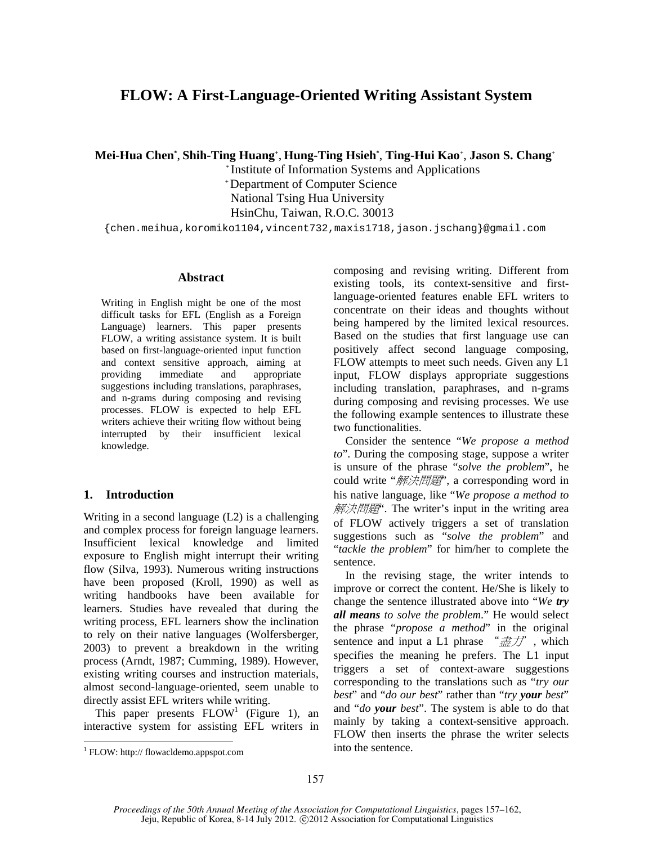# **FLOW: A First-Language-Oriented Writing Assistant System**

**Mei-Hua Chen\*** , **Shih-Ting Huang+** , **Hung-Ting Hsieh\*** , **Ting-Hui Kao+** , **Jason S. Chang+**

 \* Institute of Information Systems and Applications + Department of Computer Science National Tsing Hua University HsinChu, Taiwan, R.O.C. 30013

{chen.meihua,koromiko1104,vincent732,maxis1718,jason.jschang}@gmail.com

## **Abstract**

Writing in English might be one of the most difficult tasks for EFL (English as a Foreign Language) learners. This paper presents FLOW, a writing assistance system. It is built based on first-language-oriented input function and context sensitive approach, aiming at providing immediate and appropriate suggestions including translations, paraphrases, and n-grams during composing and revising processes. FLOW is expected to help EFL writers achieve their writing flow without being interrupted by their insufficient lexical knowledge.

## **1. Introduction**

Writing in a second language (L2) is a challenging and complex process for foreign language learners. Insufficient lexical knowledge and limited exposure to English might interrupt their writing flow (Silva, 1993). Numerous writing instructions have been proposed (Kroll, 1990) as well as writing handbooks have been available for learners. Studies have revealed that during the writing process, EFL learners show the inclination to rely on their native languages (Wolfersberger, 2003) to prevent a breakdown in the writing process (Arndt, 1987; Cumming, 1989). However, existing writing courses and instruction materials, almost second-language-oriented, seem unable to directly assist EFL writers while writing.

This paper presents  $FLOW<sup>1</sup>$  (Figure 1), an interactive system for assisting EFL writers in

 $\overline{a}$ 

composing and revising writing. Different from existing tools, its context-sensitive and firstlanguage-oriented features enable EFL writers to concentrate on their ideas and thoughts without being hampered by the limited lexical resources. Based on the studies that first language use can positively affect second language composing, FLOW attempts to meet such needs. Given any L1 input, FLOW displays appropriate suggestions including translation, paraphrases, and n-grams during composing and revising processes. We use the following example sentences to illustrate these two functionalities.

Consider the sentence "*We propose a method to*". During the composing stage, suppose a writer is unsure of the phrase "*solve the problem*", he could write "解決問題", a corresponding word in his native language, like "*We propose a method to* 解決問題: The writer's input in the writing area of FLOW actively triggers a set of translation suggestions such as "*solve the problem*" and "*tackle the problem*" for him/her to complete the sentence.

In the revising stage, the writer intends to improve or correct the content. He/She is likely to change the sentence illustrated above into "*We try all means to solve the problem*." He would select the phrase "*propose a method*" in the original sentence and input a L1 phrase  $\ \ \ \ \ \ \ \ \ \ \ \ \ \ \ \ \ \ \ \ \ \ \ \ \ \ \ \ \ \ \ \ \ \$ specifies the meaning he prefers. The L1 input triggers a set of context-aware suggestions corresponding to the translations such as "*try our best*" and "*do our best*" rather than "*try your best*" and "*do your best*". The system is able to do that mainly by taking a context-sensitive approach. FLOW then inserts the phrase the writer selects into the sentence.

<sup>1</sup> FLOW: http:// flowacldemo.appspot.com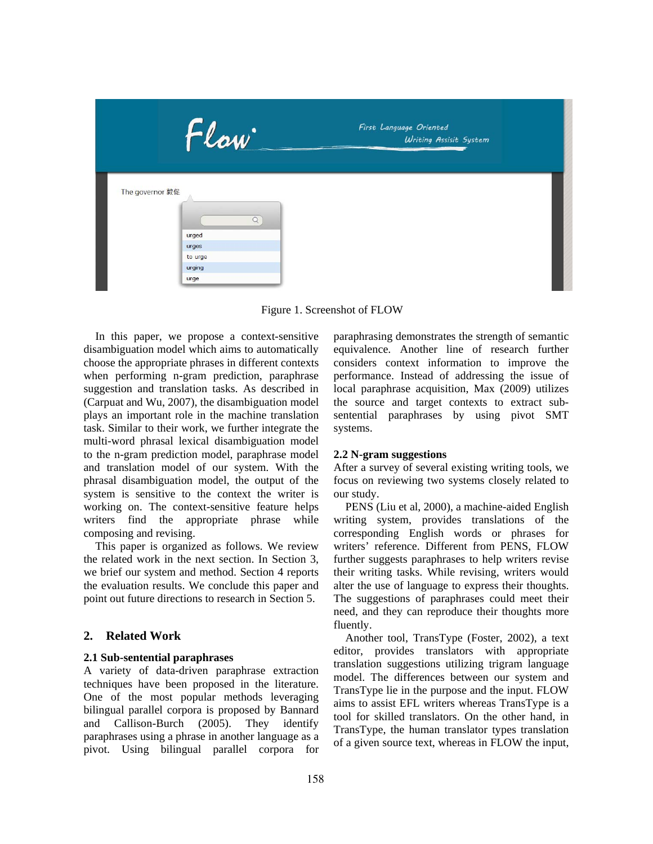

Figure 1. Screenshot of FLOW

In this paper, we propose a context-sensitive disambiguation model which aims to automatically choose the appropriate phrases in different contexts when performing n-gram prediction, paraphrase suggestion and translation tasks. As described in (Carpuat and Wu, 2007), the disambiguation model plays an important role in the machine translation task. Similar to their work, we further integrate the multi-word phrasal lexical disambiguation model to the n-gram prediction model, paraphrase model and translation model of our system. With the phrasal disambiguation model, the output of the system is sensitive to the context the writer is working on. The context-sensitive feature helps writers find the appropriate phrase while composing and revising.

This paper is organized as follows. We review the related work in the next section. In Section 3, we brief our system and method. Section 4 reports the evaluation results. We conclude this paper and point out future directions to research in Section 5.

## **2. Related Work**

## **2.1 Sub-sentential paraphrases**

A variety of data-driven paraphrase extraction techniques have been proposed in the literature. One of the most popular methods leveraging bilingual parallel corpora is proposed by Bannard and Callison-Burch (2005). They identify paraphrases using a phrase in another language as a pivot. Using bilingual parallel corpora for paraphrasing demonstrates the strength of semantic equivalence. Another line of research further considers context information to improve the performance. Instead of addressing the issue of local paraphrase acquisition, Max (2009) utilizes the source and target contexts to extract subsentential paraphrases by using pivot SMT systems.

## **2.2 N-gram suggestions**

After a survey of several existing writing tools, we focus on reviewing two systems closely related to our study.

PENS (Liu et al, 2000), a machine-aided English writing system, provides translations of the corresponding English words or phrases for writers' reference. Different from PENS, FLOW further suggests paraphrases to help writers revise their writing tasks. While revising, writers would alter the use of language to express their thoughts. The suggestions of paraphrases could meet their need, and they can reproduce their thoughts more fluently.

Another tool, TransType (Foster, 2002), a text editor, provides translators with appropriate translation suggestions utilizing trigram language model. The differences between our system and TransType lie in the purpose and the input. FLOW aims to assist EFL writers whereas TransType is a tool for skilled translators. On the other hand, in TransType, the human translator types translation of a given source text, whereas in FLOW the input,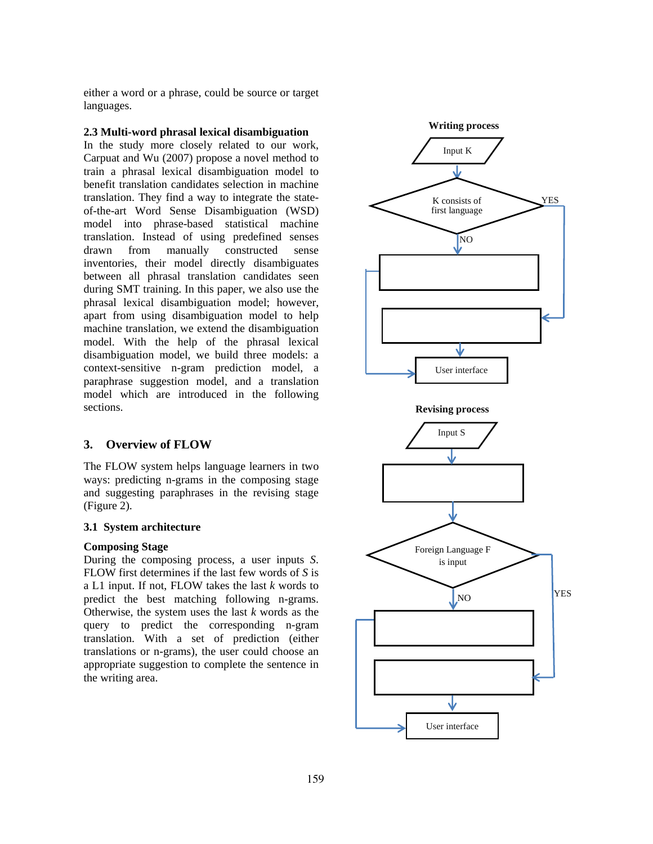either a word or a phrase, could be source or target languages.

## **2.3 Multi-word phrasal lexical disambiguation**

In the study more closely related to our work, Carpuat and Wu (2007) propose a novel method to train a phrasal lexical disambiguation model to benefit translation candidates selection in machine translation. They find a way to integrate the stateof-the-art Word Sense Disambiguation (WSD) model into phrase-based statistical machine translation. Instead of using predefined senses drawn from manually constructed sense inventories, their model directly disambiguates between all phrasal translation candidates seen during SMT training. In this paper, we also use the phrasal lexical disambiguation model; however, apart from using disambiguation model to help machine translation, we extend the disambiguation model. With the help of the phrasal lexical disambiguation model, we build three models: a context-sensitive n-gram prediction model, a paraphrase suggestion model, and a translation model which are introduced in the following sections.

## **3. Overview of FLOW**

The FLOW system helps language learners in two ways: predicting n-grams in the composing stage and suggesting paraphrases in the revising stage (Figure 2).

### **3.1 System architecture**

### **Composing Stage**

During the composing process, a user inputs *S*. FLOW first determines if the last few words of *S* is a L1 input. If not, FLOW takes the last *k* words to predict the best matching following n-grams. Otherwise, the system uses the last *k* words as the query to predict the corresponding n-gram translation. With a set of prediction (either translations or n-grams), the user could choose an appropriate suggestion to complete the sentence in the writing area.

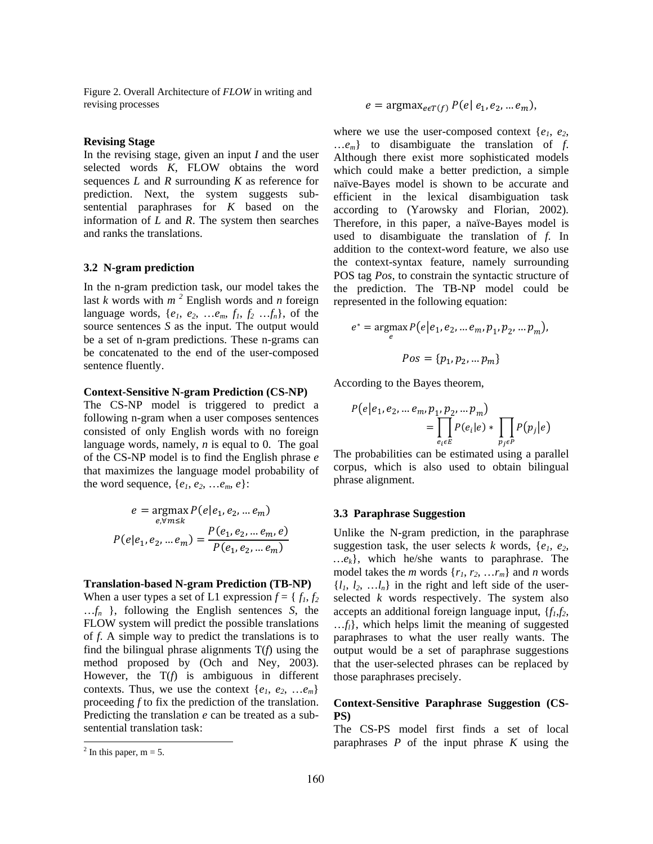Figure 2. Overall Architecture of *FLOW* in writing and revising processes

#### **Revising Stage**

In the revising stage, given an input *I* and the user selected words *K*, FLOW obtains the word sequences *L* and *R* surrounding *K* as reference for prediction. Next, the system suggests subsentential paraphrases for *K* based on the information of *L* and *R*. The system then searches and ranks the translations.

#### **3.2 N-gram prediction**

In the n-gram prediction task, our model takes the last *k* words with  $m<sup>2</sup>$  English words and *n* foreign language words,  $\{e_1, e_2, \ldots, e_m, f_1, f_2, \ldots, f_n\}$ , of the source sentences *S* as the input. The output would be a set of n-gram predictions. These n-grams can be concatenated to the end of the user-composed sentence fluently.

### **Context-Sensitive N-gram Prediction (CS-NP)**

The CS-NP model is triggered to predict a following n-gram when a user composes sentences consisted of only English words with no foreign language words, namely, *n* is equal to 0. The goal of the CS-NP model is to find the English phrase *e* that maximizes the language model probability of the word sequence,  $\{e_1, e_2, \ldots e_m, e\}$ :

$$
e = \underset{e, \forall m \le k}{\text{argmax}} P(e|e_1, e_2, \dots e_m)
$$

$$
P(e|e_1, e_2, \dots e_m) = \frac{P(e_1, e_2, \dots e_m, e)}{P(e_1, e_2, \dots e_m)}
$$

#### **Translation-based N-gram Prediction (TB-NP)**

When a user types a set of L1 expression  $f = \{f_1, f_2\}$ …*fn* }, following the English sentences *S*, the FLOW system will predict the possible translations of *f*. A simple way to predict the translations is to find the bilingual phrase alignments T(*f*) using the method proposed by (Och and Ney, 2003). However, the T(*f*) is ambiguous in different contexts. Thus, we use the context  $\{e_1, e_2, \dots e_m\}$ proceeding *f* to fix the prediction of the translation. Predicting the translation *e* can be treated as a subsentential translation task:

 $\overline{a}$ 

$$
e = \operatorname{argmax}_{e \in T(f)} P(e \mid e_1, e_2, \dots e_m),
$$

where we use the user-composed context  $\{e_1, e_2,$ …*em*} to disambiguate the translation of *f*. Although there exist more sophisticated models which could make a better prediction, a simple naïve-Bayes model is shown to be accurate and efficient in the lexical disambiguation task according to (Yarowsky and Florian, 2002). Therefore, in this paper, a naïve-Bayes model is used to disambiguate the translation of *f*. In addition to the context-word feature, we also use the context-syntax feature, namely surrounding POS tag *Pos*, to constrain the syntactic structure of the prediction. The TB-NP model could be represented in the following equation:

$$
e^* = \operatorname*{argmax}_{e} P(e|e_1, e_2, \dots e_m, p_1, p_2, \dots p_m),
$$

$$
Pos = \{p_1, p_2, \dots p_m\}
$$

According to the Bayes theorem,

$$
P(e|e_1, e_2, \dots e_m, p_1, p_2, \dots p_m)
$$
  
= 
$$
\prod_{e_i \in E} P(e_i|e) * \prod_{p_j \in P} P(p_j|e)
$$

The probabilities can be estimated using a parallel corpus, which is also used to obtain bilingual phrase alignment.

#### **3.3 Paraphrase Suggestion**

Unlike the N-gram prediction, in the paraphrase suggestion task, the user selects  $k$  words,  $\{e_1, e_2, \ldots, e_n\}$ *…ek*}, which he/she wants to paraphrase. The model takes the *m* words  $\{r_1, r_2, \ldots r_m\}$  and *n* words  $\{l_1, l_2, \ldots, l_n\}$  in the right and left side of the userselected *k* words respectively. The system also accepts an additional foreign language input,  ${f_1, f_2, \dots, f_n}$  $...f_l$ , which helps limit the meaning of suggested paraphrases to what the user really wants. The output would be a set of paraphrase suggestions that the user-selected phrases can be replaced by those paraphrases precisely.

## **Context-Sensitive Paraphrase Suggestion (CS-PS)**

The CS-PS model first finds a set of local paraphrases *P* of the input phrase *K* using the

<sup>&</sup>lt;sup>2</sup> In this paper, m = 5.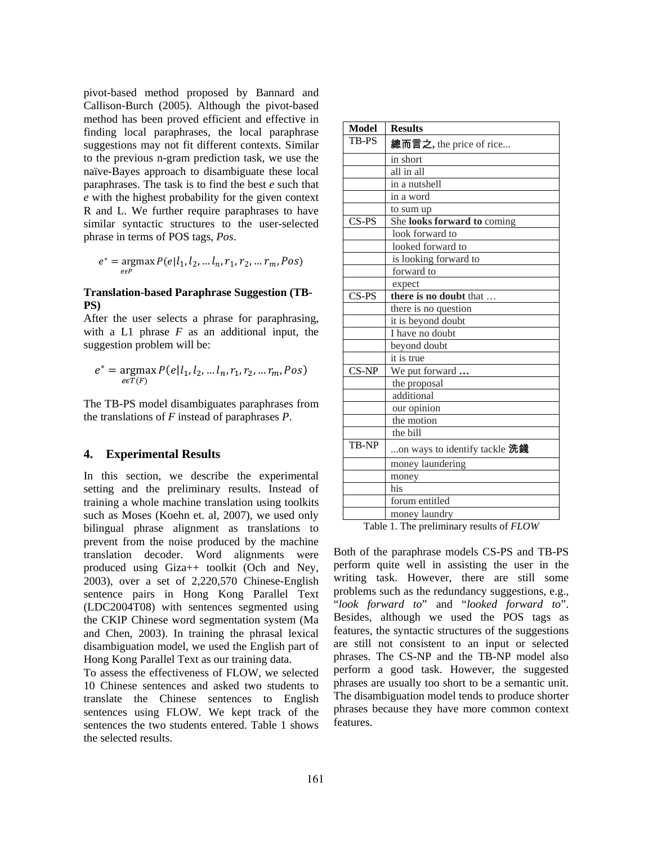pivot-based method proposed by Bannard and Callison-Burch (2005). Although the pivot-based method has been proved efficient and effective in finding local paraphrases, the local paraphrase suggestions may not fit different contexts. Similar to the previous n-gram prediction task, we use the naïve-Bayes approach to disambiguate these local paraphrases. The task is to find the best *e* such that *e* with the highest probability for the given context R and L. We further require paraphrases to have similar syntactic structures to the user-selected phrase in terms of POS tags, *Pos*.

$$
e^* = \underset{e \in P}{\text{argmax}} P(e | l_1, l_2, \dots l_n, r_1, r_2, \dots r_m, Pos)
$$

## **Translation-based Paraphrase Suggestion (TB-PS)**

After the user selects a phrase for paraphrasing, with a L1 phrase *F* as an additional input, the suggestion problem will be:

$$
e^* = \underset{e \in T(F)}{\text{argmax}} P(e|l_1, l_2, \dots l_n, r_1, r_2, \dots r_m, Pos)
$$

The TB-PS model disambiguates paraphrases from the translations of *F* instead of paraphrases *P*.

## **4. Experimental Results**

In this section, we describe the experimental setting and the preliminary results. Instead of training a whole machine translation using toolkits such as Moses (Koehn et. al, 2007), we used only bilingual phrase alignment as translations to prevent from the noise produced by the machine translation decoder. Word alignments were produced using Giza++ toolkit (Och and Ney, 2003), over a set of 2,220,570 Chinese-English sentence pairs in Hong Kong Parallel Text (LDC2004T08) with sentences segmented using the CKIP Chinese word segmentation system (Ma and Chen, 2003). In training the phrasal lexical disambiguation model, we used the English part of Hong Kong Parallel Text as our training data.

To assess the effectiveness of FLOW, we selected 10 Chinese sentences and asked two students to translate the Chinese sentences to English sentences using FLOW. We kept track of the sentences the two students entered. Table 1 shows the selected results.

| <b>Model</b> | <b>Results</b>                |
|--------------|-------------------------------|
| TB-PS        | 總而言之, the price of rice       |
|              | in short                      |
|              | all in all                    |
|              | in a nutshell                 |
|              | in a word                     |
|              | to sum up                     |
| CS-PS        | She looks forward to coming   |
|              | look forward to               |
|              | looked forward to             |
|              | is looking forward to         |
|              | forward to                    |
|              | expect                        |
| CS-PS        | there is no doubt that        |
|              | there is no question          |
|              | it is beyond doubt            |
|              | I have no doubt               |
|              | beyond doubt                  |
|              | it is true                    |
| $CS-NP$      | We put forward                |
|              | the proposal                  |
|              | additional                    |
|              | our opinion                   |
|              | the motion                    |
|              | the bill                      |
| TB-NP        | on ways to identify tackle 洗錢 |
|              | money laundering              |
|              | money                         |
|              | his                           |
|              | forum entitled                |
|              | money laundry                 |

Table 1. The preliminary results of *FLOW*

Both of the paraphrase models CS-PS and TB-PS perform quite well in assisting the user in the writing task. However, there are still some problems such as the redundancy suggestions, e.g., "*look forward to*" and "*looked forward to*". Besides, although we used the POS tags as features, the syntactic structures of the suggestions are still not consistent to an input or selected phrases. The CS-NP and the TB-NP model also perform a good task. However, the suggested phrases are usually too short to be a semantic unit. The disambiguation model tends to produce shorter phrases because they have more common context features.